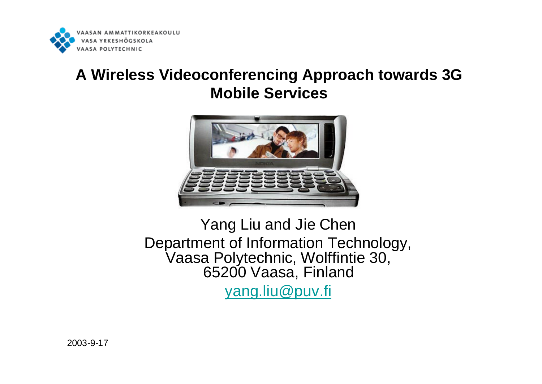

#### **A Wireless Videoconferencing Approach towards 3G Mobile Services**



Yang Liu and Jie Chen Department of Information Technology, Vaasa Polytechnic, Wolffintie 30, 65200 Vaasa, Finland yang.liu@puv.fi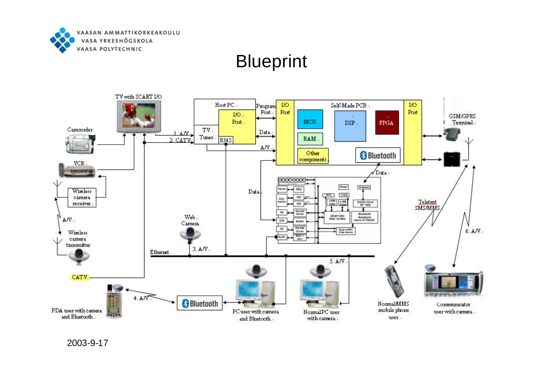

## **Blueprint**

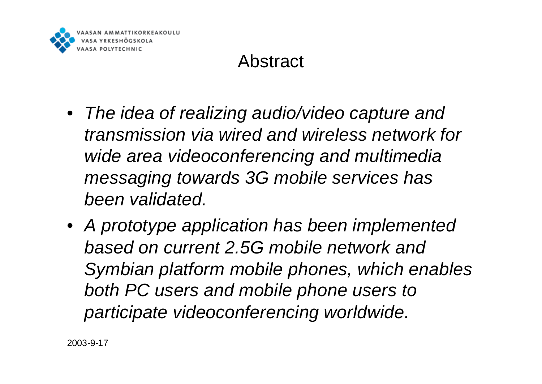

# Abstract

- *The idea of realizing audio/video capture and transmission via wired and wireless network for wide area videoconferencing and multimedia messaging towards 3G mobile services has been validated.*
- *A prototype application has been implemented based on current 2.5G mobile network and Symbian platform mobile phones, which enables both PC users and mobile phone users to participate videoconferencing worldwide.*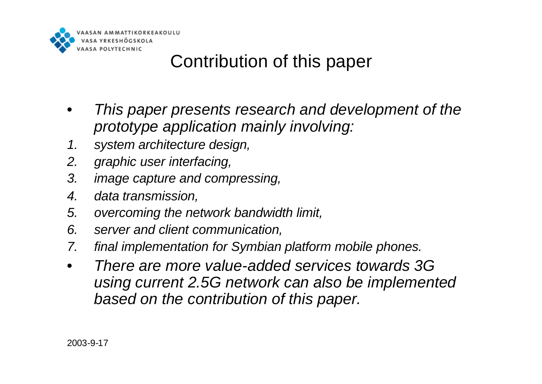

# Contribution of this paper

- *This paper presents research and development of the prototype application mainly involving:*
- *1. system architecture design,*
- *2. graphic user interfacing,*
- *3. image capture and compressing,*
- *4. data transmission,*
- *5. overcoming the network bandwidth limit,*
- *6. server and client communication,*
- *7. final implementation for Symbian platform mobile phones.*
- *There are more value-added services towards 3G using current 2.5G network can also be implemented based on the contribution of this paper.*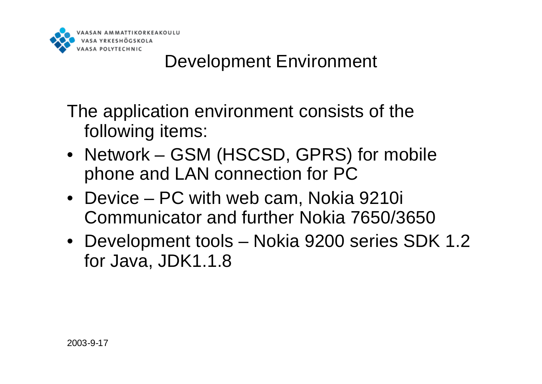

# Development Environment

The application environment consists of the following items:

- Network GSM (HSCSD, GPRS) for mobile phone and LAN connection for PC
- Device PC with web cam, Nokia 9210i Communicator and further Nokia 7650/3650
- Development tools Nokia 9200 series SDK 1.2 for Java, JDK1.1.8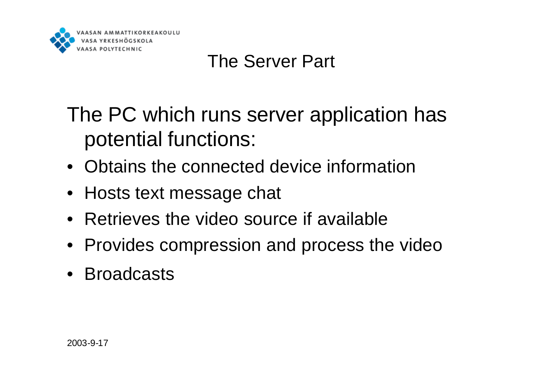

# The Server Part

The PC which runs server application has potential functions:

- Obtains the connected device information
- Hosts text message chat
- Retrieves the video source if available
- Provides compression and process the video
- Broadcasts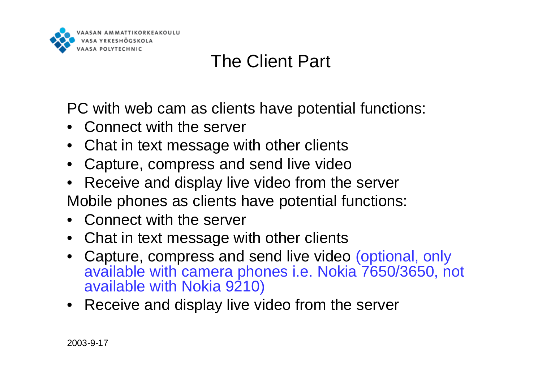

# The Client Part

PC with web cam as clients have potential functions:

- Connect with the server
- Chat in text message with other clients
- Capture, compress and send live video
- Receive and display live video from the server Mobile phones as clients have potential functions:
- Connect with the server
- Chat in text message with other clients
- Capture, compress and send live video (optional, only available with camera phones i.e. Nokia 7650/3650, not available with Nokia 9210)
- Receive and display live video from the server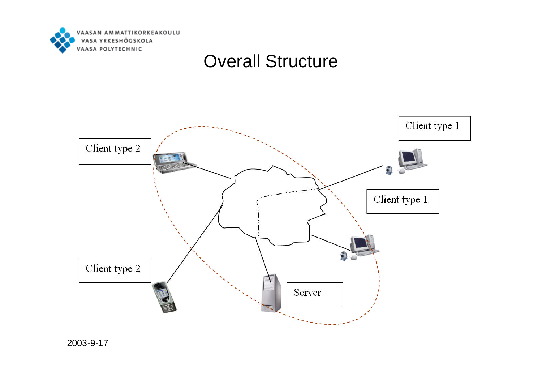

#### Overall Structure

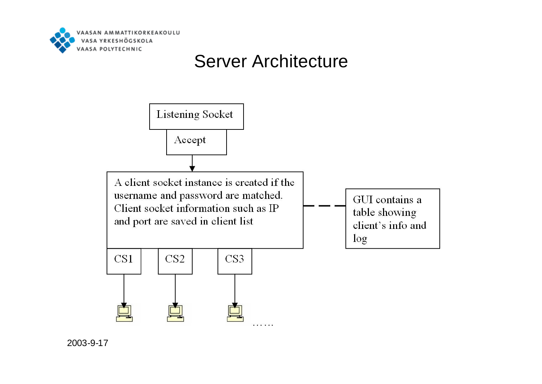

#### Server Architecture

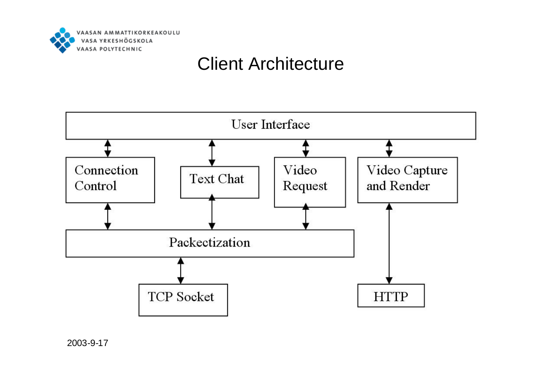

#### Client Architecture

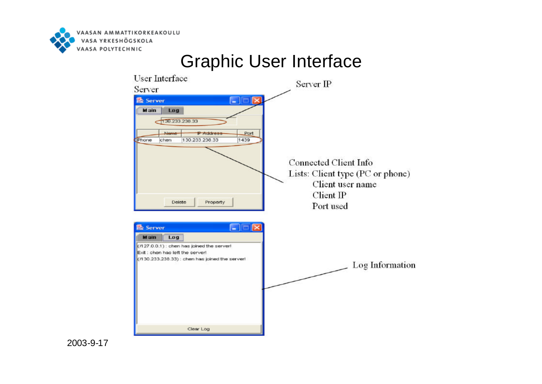

#### Graphic User Interface**User Interface** Server IP Server **图 Server** c l x Log Main 130.233.238.33 Name **P** Address Port 130.233.238.33 1439 Phone chen Connected Client Info Lists: Client type (PC or phone) Client user name Client IP Delete Property Port used **島 Server**  $\Box$ **Main** Log  $(7127.0.0.1)$ : chen has joined the server! Exit : chen has left the server! (/130.233.238.33) : chen has joined the server! Log Information Clear Log